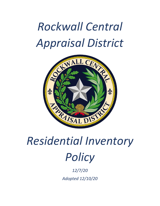## *Rockwall Central Appraisal District*



## *Residential Inventory Policy*

*12/7/20 Adopted 12/10/20*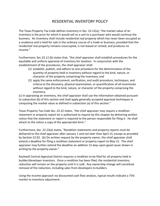## RESIDENTIAL INVENTORY POLICY

The Texas Property Tax Code defines inventory in Sec. 23.12(a); "the market value of an inventory is the price for which it would sell as a unit to a purchaser who would continue the business. An inventory shall include residential real property which has never been occupied as a residence and is held for sale in the ordinary course of a trade or business, provided that the residential real property remains unoccupied, is not leased or rented, and produces no income."

Furthermore, Sec.23.12 (b) states that, "the chief appraiser shall establish procedures for the equitable and uniform appraisal of inventory for taxation. In conjunction with the establishment of the procedures, the chief appraiser shall:

- (1) establish, publish, and adhere to one procedure for the determination of the quantity of property held in inventory without regard to the kind, nature, or character of the property comprising the inventory; and
- (2) apply the same enforcement, verification, and audit procedure, techniques, and criteria to the discovery, physical examination, or quantification of all inventories without regard to the kind, nature, or character of the property comprising the inventory.

(c) In appraising an inventory, the chief appraiser shall use the information obtained pursuant to subsection (b) of this section and shall apply generally accepted appraisal techniques in computing the market value as defined in subsection (a) of this section."

Texas Property Tax Code Sec. 22.22 states, "the chief appraiser may require a rendition statement or property report he is authorized to require by this chapter by delivering written notice that the statement or report is required to the person responsible for filing it. He shall attach to the notice a copy of the appropriate form."

Furthermore, Sec. 22.23(a) states, "Rendition statements and property reports must be delivered to the chief appraiser after January 1 and not later than April 15, except as provided by Section 22.02. (b) On written request by the property owner, the chief appraiser shall extend a deadline for filing a rendition statement or property report to May 15. The chief appraiser may further extend the deadline an addition 15 days upon good cause shown in writing by the property owner."

Rockwall Central Appraisal District requires a rendition to be filed for all property held in builder/developer inventory. Once a rendition has been filed, the residential inventory reduction will remain on the property until it is sold. Any ownership change will constitute removal of the reduction, including sales from developers to builders.

Using the income approach via discounted cash flow analysis, typical results indicate a 75% market to inventory adjustment.